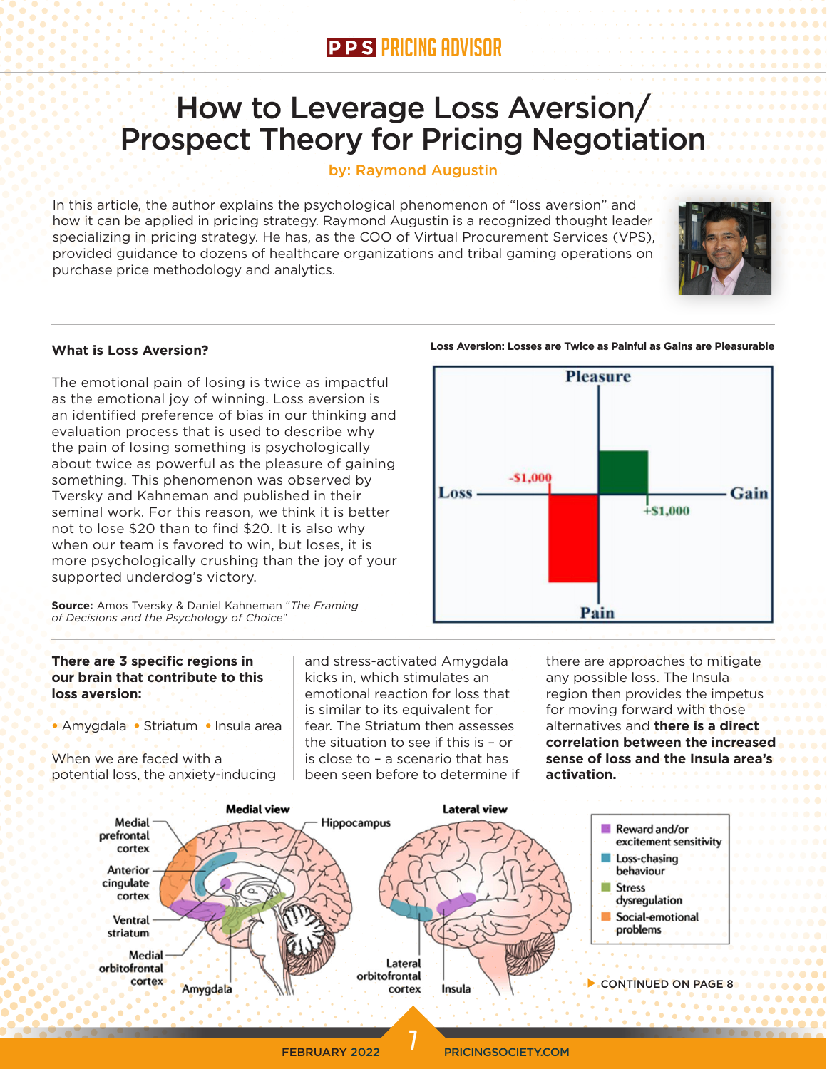## How to Leverage Loss Aversion/ Prospect Theory for Pricing Negotiation

#### by: Raymond Augustin

In this article, the author explains the psychological phenomenon of "loss aversion" and how it can be applied in pricing strategy. Raymond Augustin is a recognized thought leader specializing in pricing strategy. He has, as the COO of Virtual Procurement Services (VPS), provided guidance to dozens of healthcare organizations and tribal gaming operations on purchase price methodology and analytics.



#### **What is Loss Aversion?**

The emotional pain of losing is twice as impactful as the emotional joy of winning. Loss aversion is an identified preference of bias in our thinking and evaluation process that is used to describe why the pain of losing something is psychologically about twice as powerful as the pleasure of gaining something. This phenomenon was observed by Tversky and Kahneman and published in their seminal work. For this reason, we think it is better not to lose \$20 than to find \$20. It is also why when our team is favored to win, but loses, it is more psychologically crushing than the joy of your supported underdog's victory.



# **Pleasure**  $-51,000$ Loss Gain  $+ $1,000$ Pain

**Loss Aversion: Losses are Twice as Painful as Gains are Pleasurable**

#### **There are 3 specific regions in our brain that contribute to this loss aversion:**

• Amygdala • Striatum • Insula area

When we are faced with a potential loss, the anxiety-inducing and stress-activated Amygdala kicks in, which stimulates an emotional reaction for loss that is similar to its equivalent for fear. The Striatum then assesses the situation to see if this is – or is close to – a scenario that has been seen before to determine if there are approaches to mitigate any possible loss. The Insula region then provides the impetus for moving forward with those alternatives and **there is a direct correlation between the increased sense of loss and the Insula area's activation.**



**FEBRUARY 2022 PRICINGSOCIETY.COM**